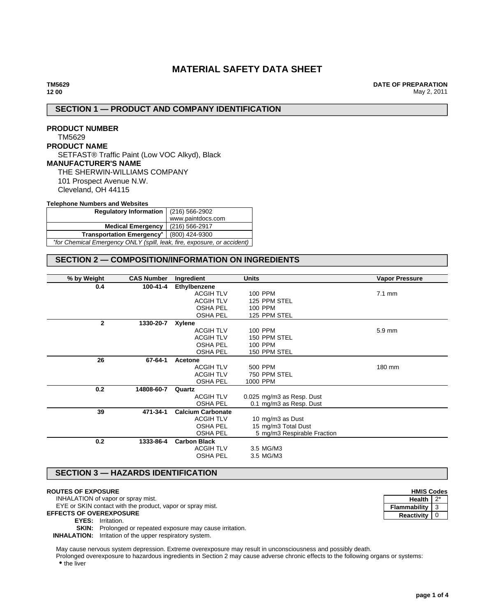# **MATERIAL SAFETY DATA SHEET**

**DATE OF PREPARATION** May 2, 2011

# **SECTION 1 — PRODUCT AND COMPANY IDENTIFICATION**

### **PRODUCT NUMBER** TM5629 **PRODUCT NAME** SETFAST® Traffic Paint (Low VOC Alkyd), Black **MANUFACTURER'S NAME** THE SHERWIN-WILLIAMS COMPANY 101 Prospect Avenue N.W. Cleveland, OH 44115

#### **Telephone Numbers and Websites**

| Regulatory Information   (216) 566-2902                                 |                   |  |
|-------------------------------------------------------------------------|-------------------|--|
|                                                                         | www.paintdocs.com |  |
| <b>Medical Emergency</b>                                                | $(216)$ 566-2917  |  |
| Transportation Emergency <sup>*</sup> (800) 424-9300                    |                   |  |
| *for Chemical Emergency ONLY (spill, leak, fire, exposure, or accident) |                   |  |

# **SECTION 2 — COMPOSITION/INFORMATION ON INGREDIENTS**

| % by Weight<br><b>CAS Number</b> |            | Ingredient               | <b>Units</b>                | <b>Vapor Pressure</b> |
|----------------------------------|------------|--------------------------|-----------------------------|-----------------------|
| 0.4                              | 100-41-4   | Ethylbenzene             |                             |                       |
|                                  |            | <b>ACGIH TLV</b>         | 100 PPM                     | $7.1$ mm              |
|                                  |            | <b>ACGIH TLV</b>         | 125 PPM STEL                |                       |
|                                  |            | <b>OSHA PEL</b>          | 100 PPM                     |                       |
|                                  |            | <b>OSHA PEL</b>          | 125 PPM STEL                |                       |
| $\mathbf{2}$                     | 1330-20-7  | Xylene                   |                             |                       |
|                                  |            | <b>ACGIH TLV</b>         | 100 PPM                     | 5.9 mm                |
|                                  |            | <b>ACGIH TLV</b>         | 150 PPM STEL                |                       |
|                                  |            | <b>OSHA PEL</b>          | 100 PPM                     |                       |
|                                  |            | <b>OSHA PEL</b>          | 150 PPM STEL                |                       |
| 26                               | 67-64-1    | Acetone                  |                             |                       |
|                                  |            | <b>ACGIH TLV</b>         | 500 PPM                     | 180 mm                |
|                                  |            | <b>ACGIH TLV</b>         | 750 PPM STEL                |                       |
|                                  |            | <b>OSHA PEL</b>          | 1000 PPM                    |                       |
| 0.2                              | 14808-60-7 | Quartz                   |                             |                       |
|                                  |            | <b>ACGIH TLV</b>         | 0.025 mg/m3 as Resp. Dust   |                       |
|                                  |            | <b>OSHA PEL</b>          | 0.1 mg/m3 as Resp. Dust     |                       |
| 39                               | 471-34-1   | <b>Calcium Carbonate</b> |                             |                       |
|                                  |            | <b>ACGIH TLV</b>         | 10 mg/m3 as Dust            |                       |
|                                  |            | <b>OSHA PEL</b>          | 15 mg/m3 Total Dust         |                       |
|                                  |            | <b>OSHA PEL</b>          | 5 mg/m3 Respirable Fraction |                       |
| 0.2                              | 1333-86-4  | <b>Carbon Black</b>      |                             |                       |
|                                  |            | <b>ACGIH TLV</b>         | 3.5 MG/M3                   |                       |
|                                  |            | <b>OSHA PEL</b>          | 3.5 MG/M3                   |                       |
|                                  |            |                          |                             |                       |

# **SECTION 3 — HAZARDS IDENTIFICATION**

### **ROUTES OF EXPOSURE**

INHALATION of vapor or spray mist.

EYE or SKIN contact with the product, vapor or spray mist.

**EFFECTS OF OVEREXPOSURE**

**EYES:** Irritation.

**SKIN:** Prolonged or repeated exposure may cause irritation.

**INHALATION:** Irritation of the upper respiratory system.

May cause nervous system depression. Extreme overexposure may result in unconsciousness and possibly death.

Prolonged overexposure to hazardous ingredients in Section 2 may cause adverse chronic effects to the following organs or systems: • the liver

| <b>HMIS Codes</b>   |   |  |
|---------------------|---|--|
| <b>Health</b>       |   |  |
| <b>Flammability</b> | 3 |  |
| <b>Reactivity</b>   |   |  |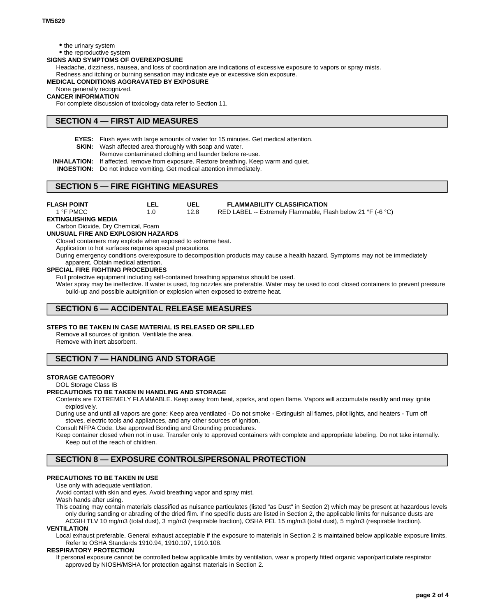- the urinary system
- the reproductive system

### **SIGNS AND SYMPTOMS OF OVEREXPOSURE**

Headache, dizziness, nausea, and loss of coordination are indications of excessive exposure to vapors or spray mists. Redness and itching or burning sensation may indicate eye or excessive skin exposure.

### **MEDICAL CONDITIONS AGGRAVATED BY EXPOSURE**

None generally recognized.

### **CANCER INFORMATION**

For complete discussion of toxicology data refer to Section 11.

### **SECTION 4 — FIRST AID MEASURES**

**EYES:** Flush eyes with large amounts of water for 15 minutes. Get medical attention.

- **SKIN:** Wash affected area thoroughly with soap and water.
	- Remove contaminated clothing and launder before re-use.
- **INHALATION:** If affected, remove from exposure. Restore breathing. Keep warm and quiet.

**INGESTION:** Do not induce vomiting. Get medical attention immediately.

### **SECTION 5 — FIRE FIGHTING MEASURES**

| <b>FLASH POINT</b> |      | <b>FLAMMABILITY CLASSIFICATION</b>                          |
|--------------------|------|-------------------------------------------------------------|
| 1 °F PMCC          | 12.8 | RED LABEL -- Extremely Flammable, Flash below 21 °F (-6 °C) |

#### **EXTINGUISHING MEDIA**

Carbon Dioxide, Dry Chemical, Foam

#### **UNUSUAL FIRE AND EXPLOSION HAZARDS**

Closed containers may explode when exposed to extreme heat.

Application to hot surfaces requires special precautions.

During emergency conditions overexposure to decomposition products may cause a health hazard. Symptoms may not be immediately apparent. Obtain medical attention.

#### **SPECIAL FIRE FIGHTING PROCEDURES**

Full protective equipment including self-contained breathing apparatus should be used.

Water spray may be ineffective. If water is used, fog nozzles are preferable. Water may be used to cool closed containers to prevent pressure build-up and possible autoignition or explosion when exposed to extreme heat.

### **SECTION 6 — ACCIDENTAL RELEASE MEASURES**

#### **STEPS TO BE TAKEN IN CASE MATERIAL IS RELEASED OR SPILLED**

Remove all sources of ignition. Ventilate the area. Remove with inert absorbent.

# **SECTION 7 — HANDLING AND STORAGE**

### **STORAGE CATEGORY**

DOL Storage Class IB

### **PRECAUTIONS TO BE TAKEN IN HANDLING AND STORAGE**

Contents are EXTREMELY FLAMMABLE. Keep away from heat, sparks, and open flame. Vapors will accumulate readily and may ignite explosively.

During use and until all vapors are gone: Keep area ventilated - Do not smoke - Extinguish all flames, pilot lights, and heaters - Turn off stoves, electric tools and appliances, and any other sources of ignition.

Consult NFPA Code. Use approved Bonding and Grounding procedures.

Keep container closed when not in use. Transfer only to approved containers with complete and appropriate labeling. Do not take internally. Keep out of the reach of children.

### **SECTION 8 — EXPOSURE CONTROLS/PERSONAL PROTECTION**

### **PRECAUTIONS TO BE TAKEN IN USE**

Use only with adequate ventilation.

Avoid contact with skin and eyes. Avoid breathing vapor and spray mist.

Wash hands after using.

This coating may contain materials classified as nuisance particulates (listed "as Dust" in Section 2) which may be present at hazardous levels only during sanding or abrading of the dried film. If no specific dusts are listed in Section 2, the applicable limits for nuisance dusts are ACGIH TLV 10 mg/m3 (total dust), 3 mg/m3 (respirable fraction), OSHA PEL 15 mg/m3 (total dust), 5 mg/m3 (respirable fraction).

#### **VENTILATION**

Local exhaust preferable. General exhaust acceptable if the exposure to materials in Section 2 is maintained below applicable exposure limits. Refer to OSHA Standards 1910.94, 1910.107, 1910.108.

#### **RESPIRATORY PROTECTION**

If personal exposure cannot be controlled below applicable limits by ventilation, wear a properly fitted organic vapor/particulate respirator approved by NIOSH/MSHA for protection against materials in Section 2.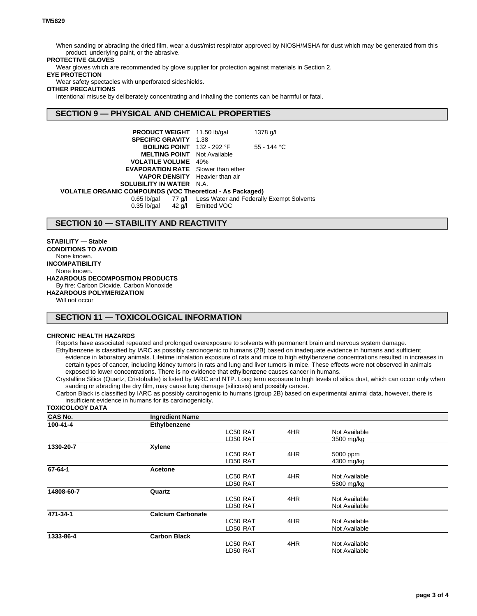When sanding or abrading the dried film, wear a dust/mist respirator approved by NIOSH/MSHA for dust which may be generated from this product, underlying paint, or the abrasive.

### **PROTECTIVE GLOVES**

Wear gloves which are recommended by glove supplier for protection against materials in Section 2.

### **EYE PROTECTION**

Wear safety spectacles with unperforated sideshields.

### **OTHER PRECAUTIONS**

Intentional misuse by deliberately concentrating and inhaling the contents can be harmful or fatal.

### **SECTION 9 — PHYSICAL AND CHEMICAL PROPERTIES**

| <b>PRODUCT WEIGHT</b> 11.50 lb/gal                                |                    | 1378 g/l                                                    |  |  |
|-------------------------------------------------------------------|--------------------|-------------------------------------------------------------|--|--|
| <b>SPECIFIC GRAVITY 1.38</b>                                      |                    |                                                             |  |  |
| <b>BOILING POINT</b> $132 - 292$ °F                               |                    | 55 - 144 °C                                                 |  |  |
| <b>MELTING POINT</b> Not Available                                |                    |                                                             |  |  |
| <b>VOLATILE VOLUME</b> 49%                                        |                    |                                                             |  |  |
| <b>EVAPORATION RATE</b> Slower than ether                         |                    |                                                             |  |  |
| <b>VAPOR DENSITY</b> Heavier than air                             |                    |                                                             |  |  |
| <b>SOLUBILITY IN WATER N.A.</b>                                   |                    |                                                             |  |  |
| <b>VOLATILE ORGANIC COMPOUNDS (VOC Theoretical - As Packaged)</b> |                    |                                                             |  |  |
|                                                                   |                    | 0.65 lb/gal 77 g/l Less Water and Federally Exempt Solvents |  |  |
| $0.35$ lb/gal                                                     | 42 g/l Emitted VOC |                                                             |  |  |

## **SECTION 10 — STABILITY AND REACTIVITY**

**STABILITY — Stable CONDITIONS TO AVOID** None known. **INCOMPATIBILITY** None known. **HAZARDOUS DECOMPOSITION PRODUCTS** By fire: Carbon Dioxide, Carbon Monoxide **HAZARDOUS POLYMERIZATION**

Will not occur

# **SECTION 11 — TOXICOLOGICAL INFORMATION**

### **CHRONIC HEALTH HAZARDS**

Reports have associated repeated and prolonged overexposure to solvents with permanent brain and nervous system damage. Ethylbenzene is classified by IARC as possibly carcinogenic to humans (2B) based on inadequate evidence in humans and sufficient evidence in laboratory animals. Lifetime inhalation exposure of rats and mice to high ethylbenzene concentrations resulted in increases in certain types of cancer, including kidney tumors in rats and lung and liver tumors in mice. These effects were not observed in animals exposed to lower concentrations. There is no evidence that ethylbenzene causes cancer in humans.

Crystalline Silica (Quartz, Cristobalite) is listed by IARC and NTP. Long term exposure to high levels of silica dust, which can occur only when sanding or abrading the dry film, may cause lung damage (silicosis) and possibly cancer.

Carbon Black is classified by IARC as possibly carcinogenic to humans (group 2B) based on experimental animal data, however, there is insufficient evidence in humans for its carcinogenicity.

#### **TOXICOLOGY DATA**

| <b>CAS No.</b> | <b>Ingredient Name</b>   |          |     |               |  |
|----------------|--------------------------|----------|-----|---------------|--|
| 100-41-4       | Ethylbenzene             |          |     |               |  |
|                |                          | LC50 RAT | 4HR | Not Available |  |
|                |                          | LD50 RAT |     | 3500 mg/kg    |  |
| 1330-20-7      | <b>Xylene</b>            |          |     |               |  |
|                |                          | LC50 RAT | 4HR | 5000 ppm      |  |
|                |                          | LD50 RAT |     | 4300 mg/kg    |  |
| 67-64-1        | <b>Acetone</b>           |          |     |               |  |
|                |                          | LC50 RAT | 4HR | Not Available |  |
|                |                          | LD50 RAT |     | 5800 mg/kg    |  |
| 14808-60-7     | Quartz                   |          |     |               |  |
|                |                          | LC50 RAT | 4HR | Not Available |  |
|                |                          | LD50 RAT |     | Not Available |  |
| 471-34-1       | <b>Calcium Carbonate</b> |          |     |               |  |
|                |                          | LC50 RAT | 4HR | Not Available |  |
|                |                          | LD50 RAT |     | Not Available |  |
| 1333-86-4      | <b>Carbon Black</b>      |          |     |               |  |
|                |                          | LC50 RAT | 4HR | Not Available |  |
|                |                          | LD50 RAT |     | Not Available |  |